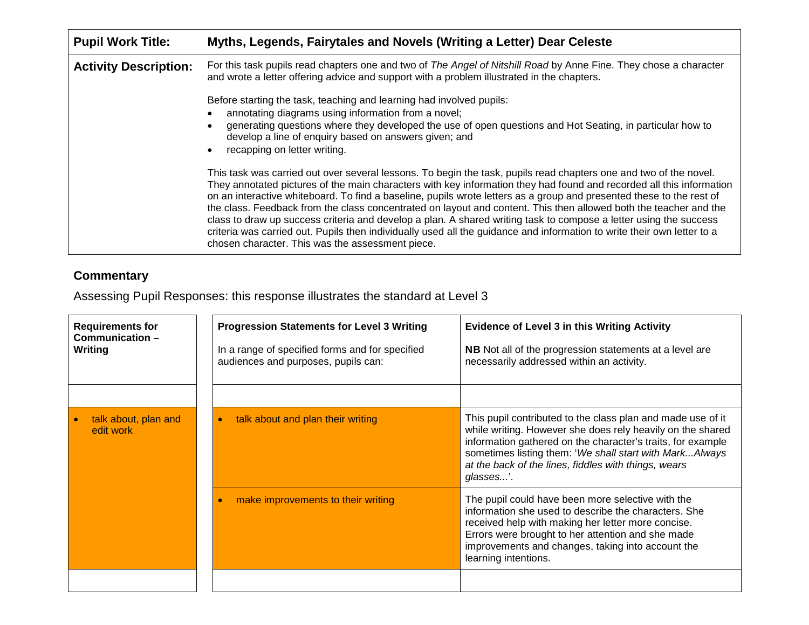| <b>Pupil Work Title:</b>     | Myths, Legends, Fairytales and Novels (Writing a Letter) Dear Celeste                                                                                                                                                                                                                                                                                                                                                                                                                                                                                                                                                                                                                                                                                                                      |
|------------------------------|--------------------------------------------------------------------------------------------------------------------------------------------------------------------------------------------------------------------------------------------------------------------------------------------------------------------------------------------------------------------------------------------------------------------------------------------------------------------------------------------------------------------------------------------------------------------------------------------------------------------------------------------------------------------------------------------------------------------------------------------------------------------------------------------|
| <b>Activity Description:</b> | For this task pupils read chapters one and two of The Angel of Nitshill Road by Anne Fine. They chose a character<br>and wrote a letter offering advice and support with a problem illustrated in the chapters.                                                                                                                                                                                                                                                                                                                                                                                                                                                                                                                                                                            |
|                              | Before starting the task, teaching and learning had involved pupils:<br>annotating diagrams using information from a novel;<br>generating questions where they developed the use of open questions and Hot Seating, in particular how to<br>develop a line of enquiry based on answers given; and<br>recapping on letter writing.                                                                                                                                                                                                                                                                                                                                                                                                                                                          |
|                              | This task was carried out over several lessons. To begin the task, pupils read chapters one and two of the novel.<br>They annotated pictures of the main characters with key information they had found and recorded all this information<br>on an interactive whiteboard. To find a baseline, pupils wrote letters as a group and presented these to the rest of<br>the class. Feedback from the class concentrated on layout and content. This then allowed both the teacher and the<br>class to draw up success criteria and develop a plan. A shared writing task to compose a letter using the success<br>criteria was carried out. Pupils then individually used all the guidance and information to write their own letter to a<br>chosen character. This was the assessment piece. |

## **Commentary**

Assessing Pupil Responses: this response illustrates the standard at Level 3

| <b>Requirements for</b><br>Communication-<br><b>Writing</b> | <b>Progression Statements for Level 3 Writing</b><br>In a range of specified forms and for specified<br>audiences and purposes, pupils can: | <b>Evidence of Level 3 in this Writing Activity</b><br><b>NB</b> Not all of the progression statements at a level are<br>necessarily addressed within an activity.                                                                                                                                                       |  |
|-------------------------------------------------------------|---------------------------------------------------------------------------------------------------------------------------------------------|--------------------------------------------------------------------------------------------------------------------------------------------------------------------------------------------------------------------------------------------------------------------------------------------------------------------------|--|
|                                                             |                                                                                                                                             |                                                                                                                                                                                                                                                                                                                          |  |
| talk about, plan and<br>edit work                           | talk about and plan their writing<br>$\bullet$                                                                                              | This pupil contributed to the class plan and made use of it<br>while writing. However she does rely heavily on the shared<br>information gathered on the character's traits, for example<br>sometimes listing them: 'We shall start with MarkAlways<br>at the back of the lines, fiddles with things, wears<br>glasses'. |  |
|                                                             | make improvements to their writing                                                                                                          | The pupil could have been more selective with the<br>information she used to describe the characters. She<br>received help with making her letter more concise.<br>Errors were brought to her attention and she made<br>improvements and changes, taking into account the<br>learning intentions.                        |  |
|                                                             |                                                                                                                                             |                                                                                                                                                                                                                                                                                                                          |  |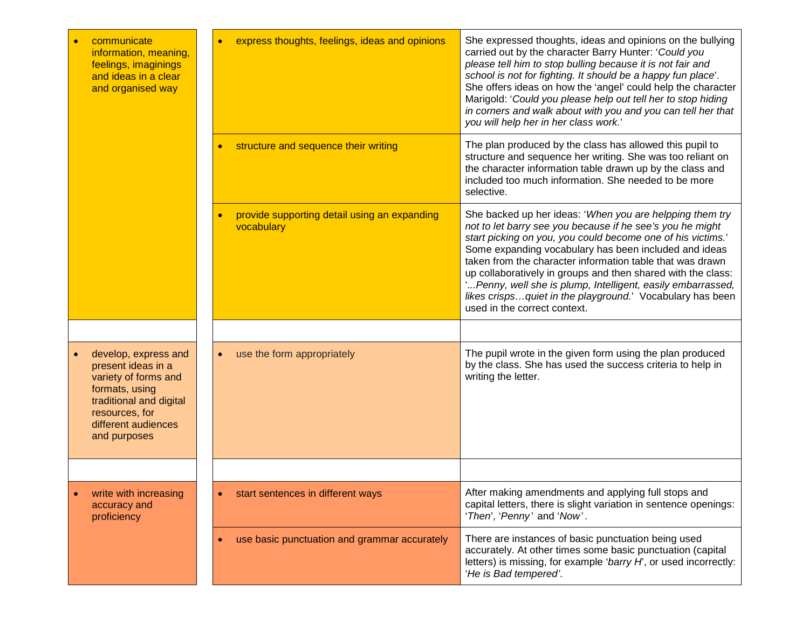| communicate<br>information, meaning,<br>feelings, imaginings<br>and ideas in a clear<br>and organised way                                                                | express thoughts, feelings, ideas and opinions             | She expressed thoughts, ideas and opinions on the bullying<br>carried out by the character Barry Hunter: 'Could you<br>please tell him to stop bulling because it is not fair and<br>school is not for fighting. It should be a happy fun place'.<br>She offers ideas on how the 'angel' could help the character<br>Marigold: 'Could you please help out tell her to stop hiding<br>in corners and walk about with you and you can tell her that<br>you will help her in her class work.'                                             |
|--------------------------------------------------------------------------------------------------------------------------------------------------------------------------|------------------------------------------------------------|----------------------------------------------------------------------------------------------------------------------------------------------------------------------------------------------------------------------------------------------------------------------------------------------------------------------------------------------------------------------------------------------------------------------------------------------------------------------------------------------------------------------------------------|
|                                                                                                                                                                          | structure and sequence their writing                       | The plan produced by the class has allowed this pupil to<br>structure and sequence her writing. She was too reliant on<br>the character information table drawn up by the class and<br>included too much information. She needed to be more<br>selective.                                                                                                                                                                                                                                                                              |
|                                                                                                                                                                          | provide supporting detail using an expanding<br>vocabulary | She backed up her ideas: 'When you are helpping them try<br>not to let barry see you because if he see's you he might<br>start picking on you, you could become one of his victims.'<br>Some expanding vocabulary has been included and ideas<br>taken from the character information table that was drawn<br>up collaboratively in groups and then shared with the class:<br>'Penny, well she is plump, Intelligent, easily embarrassed,<br>likes crispsquiet in the playground.' Vocabulary has been<br>used in the correct context. |
|                                                                                                                                                                          |                                                            |                                                                                                                                                                                                                                                                                                                                                                                                                                                                                                                                        |
| develop, express and<br>present ideas in a<br>variety of forms and<br>formats, using<br>traditional and digital<br>resources, for<br>different audiences<br>and purposes | use the form appropriately<br>$\bullet$                    | The pupil wrote in the given form using the plan produced<br>by the class. She has used the success criteria to help in<br>writing the letter.                                                                                                                                                                                                                                                                                                                                                                                         |
|                                                                                                                                                                          |                                                            |                                                                                                                                                                                                                                                                                                                                                                                                                                                                                                                                        |
| write with increasing<br>accuracy and<br>proficiency                                                                                                                     | start sentences in different ways                          | After making amendments and applying full stops and<br>capital letters, there is slight variation in sentence openings:<br>'Then', 'Penny' and 'Now'.                                                                                                                                                                                                                                                                                                                                                                                  |
|                                                                                                                                                                          | use basic punctuation and grammar accurately               | There are instances of basic punctuation being used<br>accurately. At other times some basic punctuation (capital<br>letters) is missing, for example 'barry H', or used incorrectly:<br>'He is Bad tempered'.                                                                                                                                                                                                                                                                                                                         |